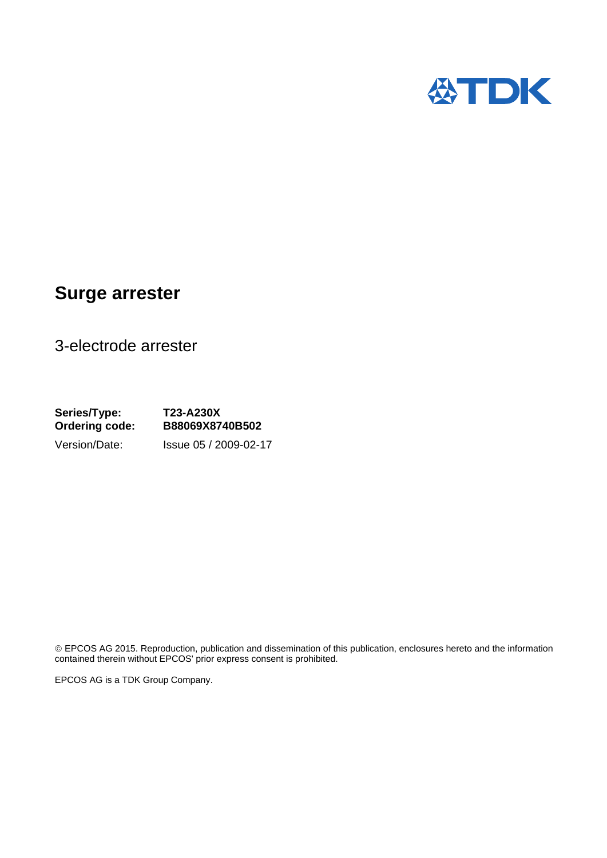

## **Surge arrester**

3-electrode arrester

**Series/Type: T23-A230X Ordering code: B88069X8740B502**  Version/Date: Issue 05 / 2009-02-17

 EPCOS AG 2015. Reproduction, publication and dissemination of this publication, enclosures hereto and the information contained therein without EPCOS' prior express consent is prohibited.

EPCOS AG is a TDK Group Company.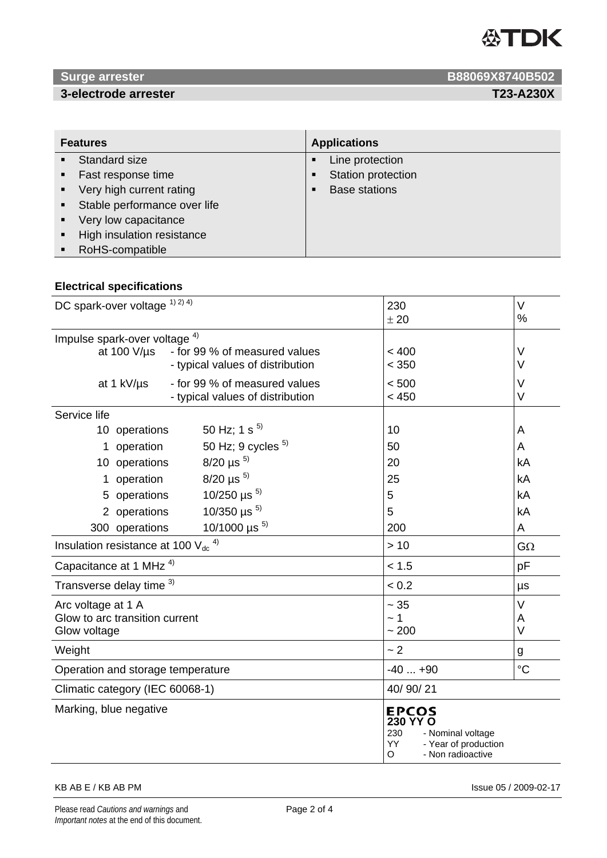

### **3-electrode arrester T23-A230X**

**1988069X8740B502 B88069X8740B502** 

| <b>Features</b> |                                | <b>Applications</b> |                      |
|-----------------|--------------------------------|---------------------|----------------------|
|                 | • Standard size                |                     | Line protection      |
| $\blacksquare$  | Fast response time             |                     | Station protection   |
|                 | • Very high current rating     |                     | <b>Base stations</b> |
|                 | • Stable performance over life |                     |                      |
| $\blacksquare$  | Very low capacitance           |                     |                      |
| $\blacksquare$  | High insulation resistance     |                     |                      |
| $\blacksquare$  | RoHS-compatible                |                     |                      |

### **Electrical specifications**

| DC spark-over voltage 1) 2) 4)                      | 230                                                                                                           | $\vee$          |
|-----------------------------------------------------|---------------------------------------------------------------------------------------------------------------|-----------------|
|                                                     | ± 20                                                                                                          | %               |
| Impulse spark-over voltage <sup>4)</sup>            |                                                                                                               |                 |
| at 100 V/µs<br>- for 99 % of measured values        | < 400                                                                                                         | $\vee$          |
| - typical values of distribution                    | < 350                                                                                                         | $\vee$          |
| - for 99 % of measured values<br>at 1 kV/us         | < 500                                                                                                         | V               |
| - typical values of distribution                    | < 450                                                                                                         | $\vee$          |
| Service life                                        |                                                                                                               |                 |
| 50 Hz; 1 s $^{5)}$<br>10 operations                 | 10                                                                                                            | A               |
| 50 Hz; 9 cycles $5$<br>operation<br>1.              | 50                                                                                                            | A               |
| $8/20 \,\mu s^{-5}$<br>10 operations                | 20                                                                                                            | kA              |
| $8/20 \,\mu s^{-5}$<br>operation                    | 25                                                                                                            | kA              |
| 10/250 $\mu$ s <sup>5)</sup><br>5 operations        | 5                                                                                                             | kA              |
| 10/350 $\mu$ s <sup>5)</sup><br>2 operations        | 5                                                                                                             | kA              |
| 10/1000 $\mu s^{5}$<br>300 operations               | 200                                                                                                           | A               |
| Insulation resistance at 100 $V_{dc}$ <sup>4)</sup> | >10                                                                                                           | $G\Omega$       |
| Capacitance at 1 MHz <sup>4)</sup>                  | < 1.5                                                                                                         | pF              |
| Transverse delay time 3)                            | < 0.2                                                                                                         | μs              |
| Arc voltage at 1 A                                  | $\sim 35$                                                                                                     | $\vee$          |
| Glow to arc transition current                      | ~1~                                                                                                           | A               |
| Glow voltage                                        | ~1200                                                                                                         | $\vee$          |
| Weight                                              | ~2                                                                                                            | g               |
| Operation and storage temperature                   | $-40+90$                                                                                                      | $\rm ^{\circ}C$ |
| Climatic category (IEC 60068-1)                     | 40/90/21                                                                                                      |                 |
| Marking, blue negative                              | <b>EPCOS</b><br>230 YY O<br>230<br>- Nominal voltage<br>YY.<br>- Year of production<br>- Non radioactive<br>O |                 |

### KB AB E / KB AB PM Issue 05 / 2009-02-17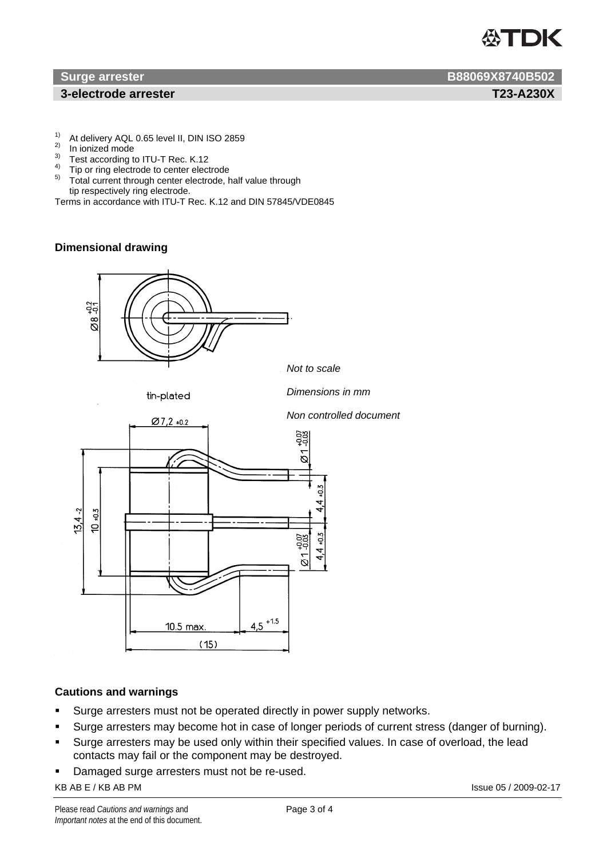# **ASTDK**

### **1** 3-electrode arrester T23-A230X

- <sup>1)</sup> At delivery AQL 0.65 level II, DIN ISO 2859
- <sup>2)</sup> In ionized mode
- Test according to ITU-T Rec. K.12
- <sup>4)</sup> Tip or ring electrode to center electrode
- 5) Total current through center electrode, half value through tip respectively ring electrode.

Terms in accordance with ITU-T Rec. K.12 and DIN 57845/VDE0845

### **Dimensional drawing**



### **Cautions and warnings**

- **Surge arresters must not be operated directly in power supply networks.**
- Surge arresters may become hot in case of longer periods of current stress (danger of burning).
- Surge arresters may be used only within their specified values. In case of overload, the lead contacts may fail or the component may be destroyed.
- Damaged surge arresters must not be re-used.

### KB AB E / KB AB PM **Issue 05 / 2009-02-17**